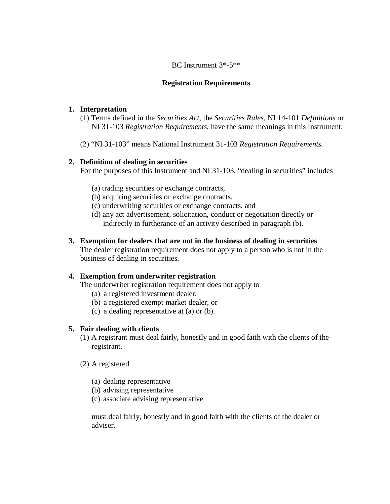## BC Instrument 3\*-5\*\*

### **Registration Requirements**

### **1. Interpretation**

- (1) Terms defined in the *Securities Act*, the *Securities Rules,* NI 14-101 *Definitions* or NI 31-103 *Registration Requirements*, have the same meanings in this Instrument.
- (2) "NI 31-103" means National Instrument 31-103 *Registration Requirements.*

### **2. Definition of dealing in securities**

For the purposes of this Instrument and NI 31-103, "dealing in securities" includes

- (a) trading securities or exchange contracts,
- (b) acquiring securities or exchange contracts,
- (c) underwriting securities or exchange contracts, and
- (d) any act advertisement, solicitation, conduct or negotiation directly or indirectly in furtherance of an activity described in paragraph (b).
- **3. Exemption for dealers that are not in the business of dealing in securities**  The dealer registration requirement does not apply to a person who is not in the business of dealing in securities.

# **4. Exemption from underwriter registration**

The underwriter registration requirement does not apply to

- (a) a registered investment dealer,
- (b) a registered exempt market dealer, or
- (c) a dealing representative at (a) or (b).

# **5. Fair dealing with clients**

- (1) A registrant must deal fairly, honestly and in good faith with the clients of the registrant.
- (2) A registered
	- (a) dealing representative
	- (b) advising representative
	- (c) associate advising representative

 must deal fairly, honestly and in good faith with the clients of the dealer or adviser.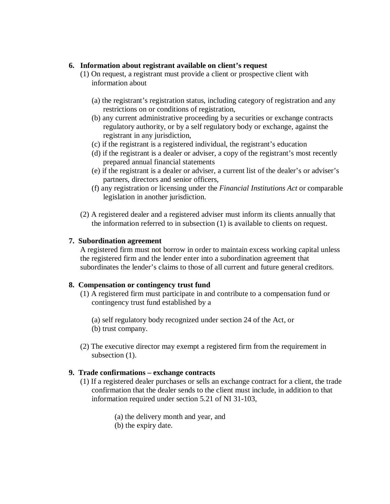#### **6. Information about registrant available on client's request**

- (1) On request, a registrant must provide a client or prospective client with information about
	- (a) the registrant's registration status, including category of registration and any restrictions on or conditions of registration,
	- (b) any current administrative proceeding by a securities or exchange contracts regulatory authority, or by a self regulatory body or exchange, against the registrant in any jurisdiction,
	- (c) if the registrant is a registered individual, the registrant's education
	- (d) if the registrant is a dealer or adviser, a copy of the registrant's most recently prepared annual financial statements
	- (e) if the registrant is a dealer or adviser, a current list of the dealer's or adviser's partners, directors and senior officers,
	- (f) any registration or licensing under the *Financial Institutions Act* or comparable legislation in another jurisdiction.
- (2) A registered dealer and a registered adviser must inform its clients annually that the information referred to in subsection (1) is available to clients on request.

### **7. Subordination agreement**

 A registered firm must not borrow in order to maintain excess working capital unless the registered firm and the lender enter into a subordination agreement that subordinates the lender's claims to those of all current and future general creditors.

# **8. Compensation or contingency trust fund**

(1) A registered firm must participate in and contribute to a compensation fund or contingency trust fund established by a

(a) self regulatory body recognized under section 24 of the Act, or (b) trust company.

(2) The executive director may exempt a registered firm from the requirement in subsection  $(1)$ .

# **9. Trade confirmations – exchange contracts**

- (1) If a registered dealer purchases or sells an exchange contract for a client, the trade confirmation that the dealer sends to the client must include, in addition to that information required under section 5.21 of NI 31-103,
	- (a) the delivery month and year, and
	- (b) the expiry date.